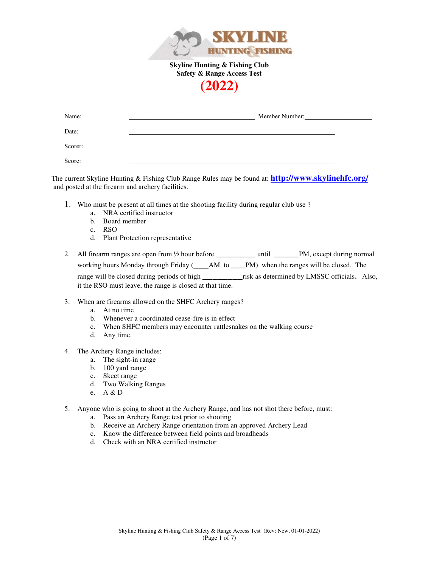



| Name:   | _Member Number: |
|---------|-----------------|
| Date:   |                 |
| Scorer: |                 |
| Score:  |                 |

The current Skyline Hunting & Fishing Club Range Rules may be found at: **http://www.skylinehfc.org/** and posted at the firearm and archery facilities.

- 1. Who must be present at all times at the shooting facility during regular club use ?
	- a. NRA certified instructor
	- b. Board member
	- c. RSO
	- d. Plant Protection representative
- 2. All firearm ranges are open from  $\frac{1}{2}$  hour before \_\_\_\_\_\_\_\_\_\_\_\_\_ until \_\_\_\_\_\_\_PM, except during normal working hours Monday through Friday (AM to AM to PM) when the ranges will be closed. The range will be closed during periods of high \_\_\_\_\_\_\_\_\_\_\_risk as determined by LMSSC officials. Also, it the RSO must leave, the range is closed at that time.
- 3. When are firearms allowed on the SHFC Archery ranges?
	- a. At no time
	- b. Whenever a coordinated cease-fire is in effect
	- c. When SHFC members may encounter rattlesnakes on the walking course
	- d. Any time.
- 4. The Archery Range includes:
	- a. The sight-in range
	- b. 100 yard range
	- c. Skeet range
	- d. Two Walking Ranges
	- e. A & D
- 5. Anyone who is going to shoot at the Archery Range, and has not shot there before, must:
	- a. Pass an Archery Range test prior to shooting
	- b. Receive an Archery Range orientation from an approved Archery Lead
	- c. Know the difference between field points and broadheads
	- d. Check with an NRA certified instructor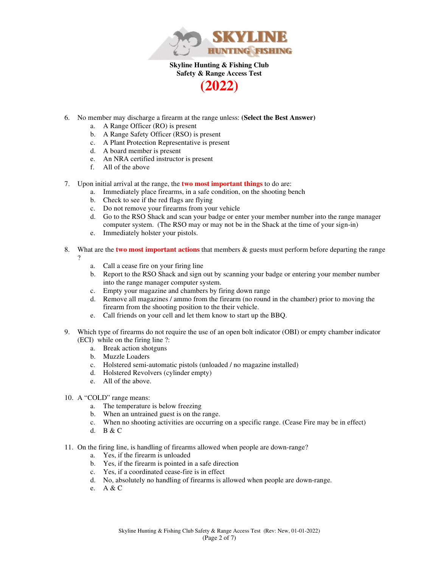

- **(2022)**
- 6. No member may discharge a firearm at the range unless: **(Select the Best Answer)**
	- a. A Range Officer (RO) is present
	- b. A Range Safety Officer (RSO) is present
	- c. A Plant Protection Representative is present
	- d. A board member is present
	- e. An NRA certified instructor is present
	- f. All of the above
- 7. Upon initial arrival at the range, the **two most important things** to do are:
	- a. Immediately place firearms, in a safe condition, on the shooting bench
	- b. Check to see if the red flags are flying
	- c. Do not remove your firearms from your vehicle
	- d. Go to the RSO Shack and scan your badge or enter your member number into the range manager computer system. (The RSO may or may not be in the Shack at the time of your sign-in)
	- e. Immediately holster your pistols.
- 8. What are the **two most important actions** that members & guests must perform before departing the range
	- ?
- a. Call a cease fire on your firing line
- b. Report to the RSO Shack and sign out by scanning your badge or entering your member number into the range manager computer system.
- c. Empty your magazine and chambers by firing down range
- d. Remove all magazines / ammo from the firearm (no round in the chamber) prior to moving the firearm from the shooting position to the their vehicle.
- e. Call friends on your cell and let them know to start up the BBQ.
- 9. Which type of firearms do not require the use of an open bolt indicator (OBI) or empty chamber indicator (ECI) while on the firing line ?:
	- a. Break action shotguns
	- b. Muzzle Loaders
	- c. Holstered semi-automatic pistols (unloaded / no magazine installed)
	- d. Holstered Revolvers (cylinder empty)
	- e. All of the above.
- 10. A "COLD" range means:
	- a. The temperature is below freezing
	- b. When an untrained guest is on the range.
	- c. When no shooting activities are occurring on a specific range. (Cease Fire may be in effect)
	- d. B & C
- 11. On the firing line, is handling of firearms allowed when people are down-range?
	- a. Yes, if the firearm is unloaded
	- b. Yes, if the firearm is pointed in a safe direction
	- c. Yes, if a coordinated cease-fire is in effect
	- d. No, absolutely no handling of firearms is allowed when people are down-range.
	- e. A & C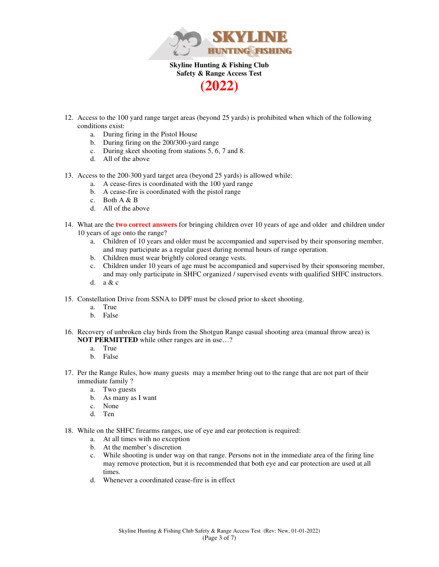

- 12. Access to the 100 yard range target areas (beyond 25 yards) is prohibited when which of the following conditions exist:
	- a. During firing in the Pistol House
	- b. During firing on the 200/300-yard range
	- c. During skeet shooting from stations 5, 6, 7 and 8.
	- d. All of the above
- 13. Access to the 200-300 yard target area (beyond 25 yards) is allowed while:
	- a. A cease-fires is coordinated with the 100 yard range
	- b. A cease-fire is coordinated with the pistol range
	- c. Both A & B
	- d. All of the above
- 14. What are the **two correct answers** for bringing children over 10 years of age and older and children under 10 years of age onto the range?
	- a. Children of 10 years and older must be accompanied and supervised by their sponsoring member, and may participate as a regular guest during normal hours of range operation.
	- b. Children must wear brightly colored orange vests.
	- c. Children under 10 years of age must be accompanied and supervised by their sponsoring member, and may only participate in SHFC organized / supervised events with qualified SHFC instructors.
	- d. a & c
- 15. Constellation Drive from SSNA to DPF must be closed prior to skeet shooting.
	- a. True
	- b. False
- 16. Recovery of unbroken clay birds from the Shotgun Range casual shooting area (manual throw area) is **NOT PERMITTED** while other ranges are in use...?
	- a. True
	- b. False
- 17. Per the Range Rules, how many guests may a member bring out to the range that are not part of their immediate family ?
	- a. Two guests
	- b. As many as I want
	- c. None
	- d. Ten
- 18. While on the SHFC firearms ranges, use of eye and ear protection is required:
	- a. At all times with no exception
	- b. At the member's discretion
	- c. While shooting is under way on that range. Persons not in the immediate area of the firing line may remove protection, but it is recommended that both eye and ear protection are used at all times.
	- d. Whenever a coordinated cease-fire is in effect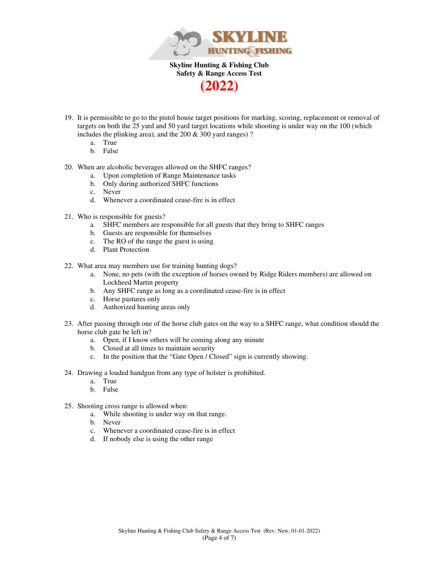

- 19. It is permissible to go to the pistol house target positions for marking, scoring, replacement or removal of targets on both the 25 yard and 50 yard target locations while shooting is under way on the 100 (which includes the plinking area), and the 200 & 300 yard ranges) ?
	- a. True
	- b. False
- 20. When are alcoholic beverages allowed on the SHFC ranges?
	- a. Upon completion of Range Maintenance tasks
	- b. Only during authorized SHFC functions
	- c. Never
	- d. Whenever a coordinated cease-fire is in effect
- 21. Who is responsible for guests?
	- a. SHFC members are responsible for all guests that they bring to SHFC ranges
	- b. Guests are responsible for themselves
	- c. The RO of the range the guest is using
	- d. Plant Protection
- 22. What area may members use for training hunting dogs?
	- a. None, no pets (with the exception of horses owned by Ridge Riders members) are allowed on Lockheed Martin property
	- b. Any SHFC range as long as a coordinated cease-fire is in effect
	- c. Horse pastures only
	- d. Authorized hunting areas only
- 23. After passing through one of the horse club gates on the way to a SHFC range, what condition should the horse club gate be left in?
	- a. Open, if I know others will be coming along any minute
	- b. Closed at all times to maintain security
	- c. In the position that the "Gate Open / Closed" sign is currently showing.
- 24. Drawing a loaded handgun from any type of holster is prohibited.
	- a. True
	- b. False
- 25. Shooting cross range is allowed when:
	- a. While shooting is under way on that range.
	- b. Never
	- c. Whenever a coordinated cease-fire is in effect
	- d. If nobody else is using the other range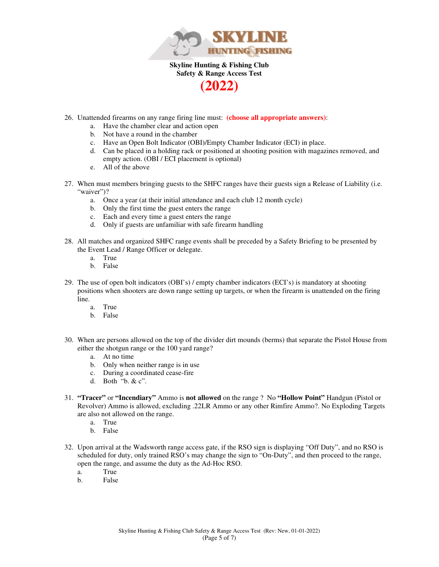

- 26. Unattended firearms on any range firing line must: **(choose all appropriate answers)**:
	- a. Have the chamber clear and action open
	- b. Not have a round in the chamber
	- c. Have an Open Bolt Indicator (OBI)/Empty Chamber Indicator (ECI) in place.
	- d. Can be placed in a holding rack or positioned at shooting position with magazines removed, and empty action. (OBI / ECI placement is optional)
	- e. All of the above
- 27. When must members bringing guests to the SHFC ranges have their guests sign a Release of Liability (i.e. "waiver")?
	- a. Once a year (at their initial attendance and each club 12 month cycle)
	- b. Only the first time the guest enters the range
	- c. Each and every time a guest enters the range
	- d. Only if guests are unfamiliar with safe firearm handling
- 28. All matches and organized SHFC range events shall be preceded by a Safety Briefing to be presented by the Event Lead / Range Officer or delegate.
	- a. True
	- b. False
- 29. The use of open bolt indicators (OBI's) / empty chamber indicators (ECI's) is mandatory at shooting positions when shooters are down range setting up targets, or when the firearm is unattended on the firing line.
	- a. True
	- b. False
- 30. When are persons allowed on the top of the divider dirt mounds (berms) that separate the Pistol House from either the shotgun range or the 100 yard range?
	- a. At no time
	- b. Only when neither range is in use
	- c. During a coordinated cease-fire
	- d. Both "b. & c".
- 31. **"Tracer"** or **"Incendiary"** Ammo is **not allowed** on the range ? No **"Hollow Point"** Handgun (Pistol or Revolver) Ammo is allowed, excluding .22LR Ammo or any other Rimfire Ammo?. No Exploding Targets are also not allowed on the range.
	- a. True
	- b. False
- 32. Upon arrival at the Wadsworth range access gate, if the RSO sign is displaying "Off Duty", and no RSO is scheduled for duty, only trained RSO's may change the sign to "On-Duty", and then proceed to the range, open the range, and assume the duty as the Ad-Hoc RSO.
	- a. True
	- b. False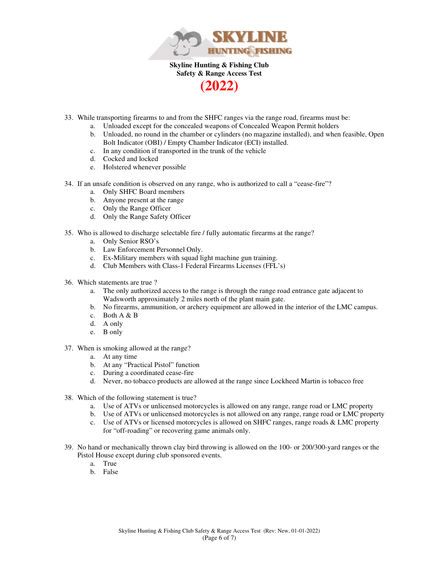

- 33. While transporting firearms to and from the SHFC ranges via the range road, firearms must be:
	- a. Unloaded except for the concealed weapons of Concealed Weapon Permit holders
	- b. Unloaded, no round in the chamber or cylinders (no magazine installed), and when feasible, Open Bolt Indicator (OBI) / Empty Chamber Indicator (ECI) installed.
	- c. In any condition if transported in the trunk of the vehicle
	- d. Cocked and locked
	- e. Holstered whenever possible
- 34. If an unsafe condition is observed on any range, who is authorized to call a "cease-fire"?
	- a. Only SHFC Board members
	- b. Anyone present at the range
	- c. Only the Range Officer
	- d. Only the Range Safety Officer
- 35. Who is allowed to discharge selectable fire / fully automatic firearms at the range?
	- a. Only Senior RSO's
	- b. Law Enforcement Personnel Only.
	- c. Ex-Military members with squad light machine gun training.
	- d. Club Members with Class-1 Federal Firearms Licenses (FFL's)
- 36. Which statements are true ?
	- a. The only authorized access to the range is through the range road entrance gate adjacent to Wadsworth approximately 2 miles north of the plant main gate.
	- b. No firearms, ammunition, or archery equipment are allowed in the interior of the LMC campus.
	- c. Both A & B
	- d. A only
	- e. B only
- 37. When is smoking allowed at the range?
	- a. At any time
	- b. At any "Practical Pistol" function
	- c. During a coordinated cease-fire
	- d. Never, no tobacco products are allowed at the range since Lockheed Martin is tobacco free
- 38. Which of the following statement is true?
	- a. Use of ATVs or unlicensed motorcycles is allowed on any range, range road or LMC property
	- b. Use of ATVs or unlicensed motorcycles is not allowed on any range, range road or LMC property
	- c. Use of ATVs or licensed motorcycles is allowed on SHFC ranges, range roads & LMC property for "off-roading" or recovering game animals only.
- 39. No hand or mechanically thrown clay bird throwing is allowed on the 100- or 200/300-yard ranges or the Pistol House except during club sponsored events.
	- a. True
	- b. False